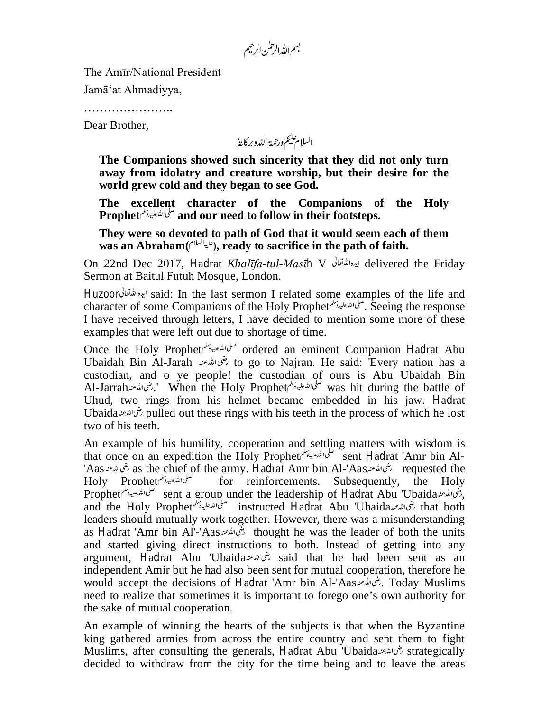بسم الله الرحمن الرحيم

The Amīr/National President

Jamā'at Ahmadiyya,

…………………..

Dear Brother,

السلام يليم ورحمة الله وبركايةُ

**The Companions showed such sincerity that they did not only turn away from idolatry and creature worship, but their desire for the world grew cold and they began to see God.**

**The excellent character of the Companions of the Holy Prophet and our need to follow in their footsteps.**

**They were so devoted to path of God that it would seem each of them**  was an Abraham( $\ell^{[1]}$ , ready to sacrifice in the path of faith.

On 22nd Dec 2017, Hadrat *Khalīfa-tul-Masīh* V delivered the Friday Sermon at Baitul Futūh Mosque, London.

Huzoor said: In the last sermon I related some examples of the life and character of some Companions of the Holy Prophet . Seeing the response I have received through letters, I have decided to mention some more of these examples that were left out due to shortage of time.

Once the Holy Prophet صلى الله عليه وسلم ordered an eminent Companion Hadrat Abu Ubaidah Bin Al-Jarah to go to Najran. He said: 'Every nation has a custodian, and o ye people! the custodian of ours is Abu Ubaidah Bin Al-Jarrah سلى الله عليه الله عليه الله عليه الله عليه الله عليه الله عليه الله عليه الله عليه الله عليه الله ع Uhud, two rings from his helmet became embedded in his jaw. Hadrat Ubaida pulled out these rings with his teeth in the process of which he lost two of his teeth.

An example of his humility, cooperation and settling matters with wisdom is that once on an expedition the Holy Prophet sent Hadrat 'Amr bin Al-'Aas مختالله عنه as the chief of the army. Hadrat Amr bin Al-'Aas بختالله عنه requested the Holy Prophet فتما الأعلية ببالمعالجة for - reinforcements. - Subsequently, - the - Holy for reinforcements. Subsequently, the Holy Prophet صلى الله عليه وسلم sent a group under the leadership of Hadrat Abu 'Ubaida مسلى الله عليه وسلم Prophet and the Holy Prophet instructed Hadrat Abu 'Ubaida مسلحان الله عليه وسلم التعاليدة للم that both leaders should mutually work together. However, there was a misunderstanding as Hadrat 'Amr bin Al'-'Aas خَمَّاللَّذِعَة thought he was the leader of both the units and started giving direct instructions to both. Instead of getting into any argument, Hadrat Abu 'Ubaida said that he had been sent as an independent Amir but he had also been sent for mutual cooperation, therefore he would accept the decisions of Hadrat 'Amr bin Al-'Aas . Today Muslims need to realize that sometimes it is important to forego one's own authority for the sake of mutual cooperation.

An example of winning the hearts of the subjects is that when the Byzantine king gathered armies from across the entire country and sent them to fight Muslims, after consulting the generals, Hadrat Abu 'Ubaida خنمالله عنده strategically decided to withdraw from the city for the time being and to leave the areas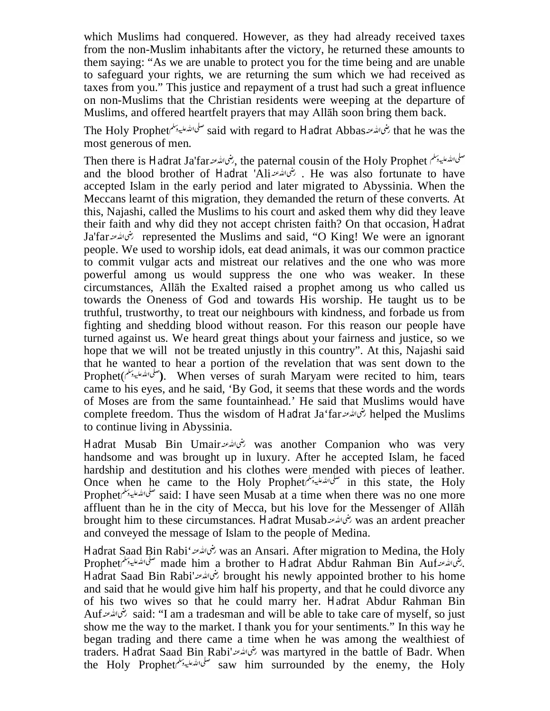which Muslims had conquered. However, as they had already received taxes from the non-Muslim inhabitants after the victory, he returned these amounts to them saying: "As we are unable to protect you for the time being and are unable to safeguard your rights, we are returning the sum which we had received as taxes from you." This justice and repayment of a trust had such a great influence on non-Muslims that the Christian residents were weeping at the departure of Muslims, and offered heartfelt prayers that may Allāh soon bring them back.

The Holy Prophet شى الله عند Said with regard to Hadrat Abbas صلى الله عليه وسلم for Prophet رضى الله عند 198 most generous of men.

Then there is Hadrat Ja'far فلمحا الله عنه بنا الله عنه بن الله عنه Then there is Hadrat Ja'far and the blood brother of Hadrat 'Ali . رضى الله عنه He was also fortunate to have accepted Islam in the early period and later migrated to Abyssinia. When the Meccans learnt of this migration, they demanded the return of these converts. At this, Najashi, called the Muslims to his court and asked them why did they leave their faith and why did they not accept christen faith? On that occasion, Hadrat Ja'far represented the Muslims and said, "O King! We were an ignorant people. We used to worship idols, eat dead animals, it was our common practice to commit vulgar acts and mistreat our relatives and the one who was more powerful among us would suppress the one who was weaker. In these circumstances, Allāh the Exalted raised a prophet among us who called us towards the Oneness of God and towards His worship. He taught us to be truthful, trustworthy, to treat our neighbours with kindness, and forbade us from fighting and shedding blood without reason. For this reason our people have turned against us. We heard great things about your fairness and justice, so we hope that we will not be treated unjustly in this country". At this, Najashi said that he wanted to hear a portion of the revelation that was sent down to the Prophet( **)**. When verses of surah Maryam were recited to him, tears came to his eyes, and he said, 'By God, it seems that these words and the words of Moses are from the same fountainhead.' He said that Muslims would have complete freedom. Thus the wisdom of Hadrat Ja'far خىمالله عنه helped the Muslims to continue living in Abyssinia.

Hadrat Musab Bin Umair بنى الله عنه was another Companion who was very handsome and was brought up in luxury. After he accepted Islam, he faced hardship and destitution and his clothes were mended with pieces of leather. Once when he came to the Holy Prophet *فلمالله عليه دسلم*الله عليه وسلم الله عليه وسلم الله عليه وسلم الله عليه وسلم الله عليه وسلم الله عليه وسلم الله عليه وسلم الله عليه وسلم الله عليه وسلم الله الله الله وسلم الله وسلم Prophet صلى الله عليه وسلم said: I have seen Musab at a time when there was no one more affluent than he in the city of Mecca, but his love for the Messenger of Allāh brought him to these circumstances. Hadrat Musab رئني الله عنه was an ardent preacher and conveyed the message of Islam to the people of Medina.

Hadrat Saad Bin Rabi' was an Ansari. After migration to Medina, the Holy Prophet made him a brother to Hadrat Abdur Rahman Bin Auf صلى الله عليه وسلم Prophet Hadrat Saad Bin Rabi' brought his newly appointed brother to his home and said that he would give him half his property, and that he could divorce any of his two wives so that he could marry her. Hadrat Abdur Rahman Bin Auf said: "I am a tradesman and will be able to take care of myself, so just show me the way to the market. I thank you for your sentiments." In this way he began trading and there came a time when he was among the wealthiest of traders. Hadrat Saad Bin Rabi' was martyred in the battle of Badr. When the Holy Prophet $\zeta^{(1)}$  saw him surrounded by the enemy, the Holy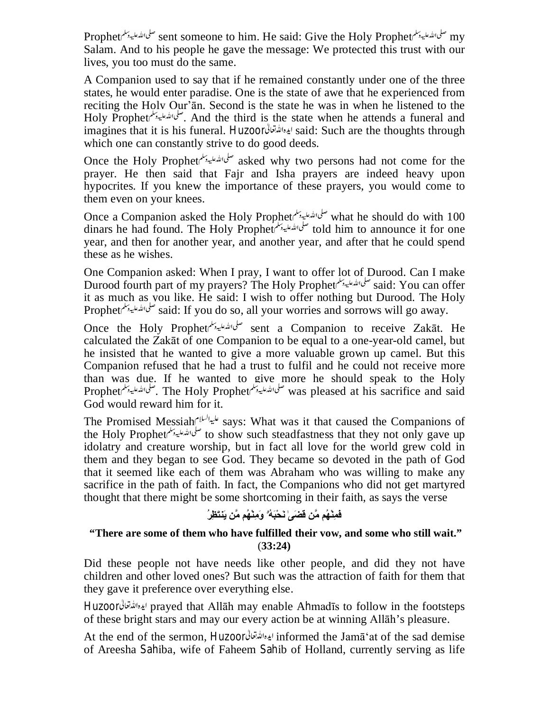Prophet صلى الله عليه وسلم sent someone to him. He said: Give the Holy Prophet صلى الله عليه وسلم my Salam. And to his people he gave the message: We protected this trust with our lives, you too must do the same.

A Companion used to say that if he remained constantly under one of the three states, he would enter paradise. One is the state of awe that he experienced from reciting the Holy Qur'ān. Second is the state he was in when he listened to the Holy Prophet . سلى الله عليه وسلم And the third is the state when he attends a funeral and imagines that it is his funeral. Huzoor said: Such are the thoughts through which one can constantly strive to do good deeds.

Once the Holy Prophet <sup>صلى الل</sup>ه عليه دسلم asked why two persons had not come for the prayer. He then said that Fajr and Isha prayers are indeed heavy upon hypocrites. If you knew the importance of these prayers, you would come to them even on your knees.

Once a Companion asked the Holy Prophet صلى الله عليه وسلم what he should do with 100 dinars he had found. The Holy Prophet سلى تشعليه ببلم told him to announce it for one year, and then for another year, and another year, and after that he could spend these as he wishes.

One Companion asked: When I pray, I want to offer lot of Durood. Can I make Durood fourth part of my prayers? The Holy Prophet صلى الله عليه بملم المله على الله عليه بلم الله عليه بلم ا it as much as you like. He said: I wish to offer nothing but Durood. The Holy Prophet صلى الله عليه وسلم said: If you do so, all your worries and sorrows will go away.

Once the Holy Prophet *سلى الله عليه وتلم* sent a Companion to receive Zakāt. He calculated the Zakāt of one Companion to be equal to a one-year-old camel, but he insisted that he wanted to give a more valuable grown up camel. But this Companion refused that he had a trust to fulfil and he could not receive more than was due. If he wanted to give more he should speak to the Holy Prophet . The Holy Prophet was pleased at his sacrifice and said God would reward him for it.

The Promised Messiah  $s^{1/(\lambda)}$  says: What was it that caused the Companions of the Holy Propheteto على الله عليه وسلم to show such steadfastness that they not only gave up idolatry and creature worship, but in fact all love for the world grew cold in them and they began to see God. They became so devoted in the path of God that it seemed like each of them was Abraham who was willing to make any sacrifice in the path of faith. In fact, the Companions who did not get martyred thought that there might be some shortcoming in their faith, as says the verse

## **فَمِنْھُم مَّن قَضَىٰ نَحْبَھُۥ وَمِنْھُم مَّن یَنتَظِرُ**

## **"There are some of them who have fulfilled their vow, and some who still wait."** (**33:24)**

Did these people not have needs like other people, and did they not have children and other loved ones? But such was the attraction of faith for them that they gave it preference over everything else.

Huzoor prayed that Allāh may enable Ahmadīs to follow in the footsteps of these bright stars and may our every action be at winning Allāh's pleasure.

At the end of the sermon, Huzoor informed the Jamā'at of the sad demise of Areesha Sahiba, wife of Faheem Sahib of Holland, currently serving as life